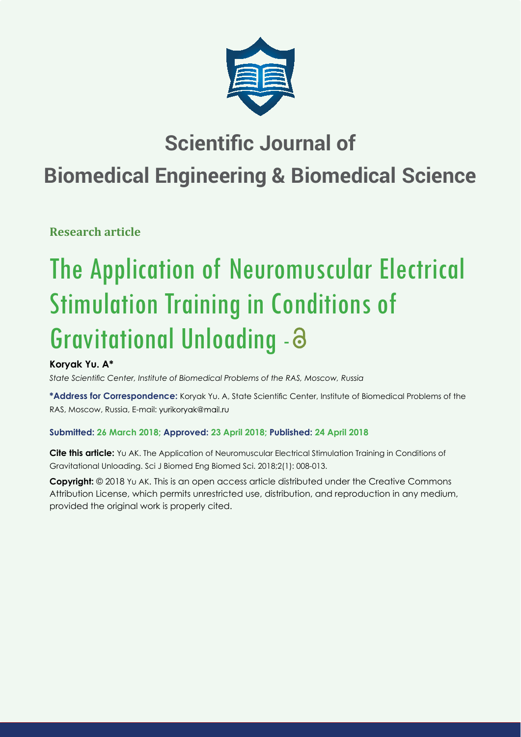

# **Scientific Journal of**

# **Biomedical Engineering & Biomedical Science**

**Research article**

# The Application of Neuromuscular Electrical Stimulation Training in Conditions of Gravitational Unloading -

# **Koryak Yu. A\***

*State Scientifi c Center, Institute of Biomedical Problems of the RAS, Moscow, Russia*

\*Address for Correspondence: Koryak Yu. A, State Scientific Center, Institute of Biomedical Problems of the RAS, Moscow, Russia, E-mail:

# **Submitted: 26 March 2018; Approved: 23 April 2018; Published: 24 April 2018**

**Cite this article:** Yu AK. The Application of Neuromuscular Electrical Stimulation Training in Conditions of Gravitational Unloading. Sci J Biomed Eng Biomed Sci. 2018;2(1): 008-013.

**Copyright:** © 2018 Yu AK. This is an open access article distributed under the Creative Commons Attribution License, which permits unrestricted use, distribution, and reproduction in any medium, provided the original work is properly cited.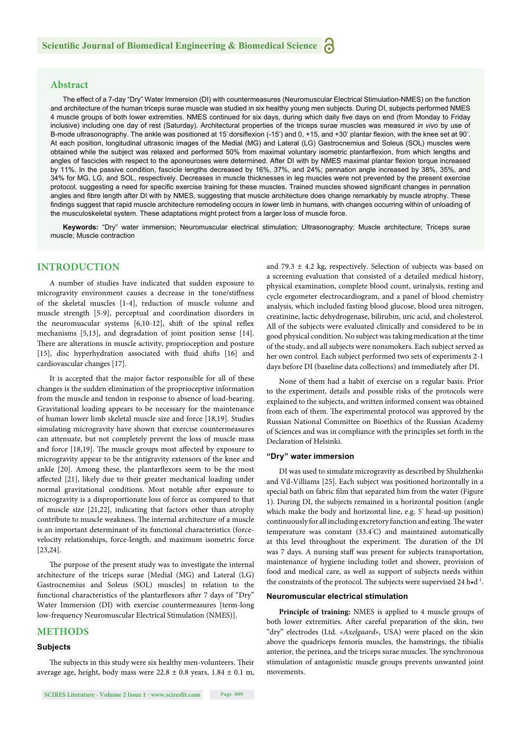#### **Abstract**

The effect of a 7-day "Dry" Water Immersion (DI) with countermeasures (Neuromuscular Electrical Stimulation-NMES) on the function and architecture of the human triceps surae muscle was studied in six healthy young men subjects. During DI, subjects performed NMES 4 muscle groups of both lower extremities. NMES continued for six days, during which daily five days on end (from Monday to Friday inclusive) including one day of rest (Saturday). Architectural properties of the triceps surae muscles was measured *in vivo* by use of B-mode ultrasonography. The ankle was positioned at 15° dorsiflexion (-15°) and 0, +15, and +30° plantar flexion, with the knee set at 90°. At each position, longitudinal ultrasonic images of the Medial (MG) and Lateral (LG) Gastrocnemius and Soleus (SOL) muscles were obtained while the subject was relaxed and performed 50% from maximal voluntary isometric plantarflexion, from which lengths and angles of fascicles with respect to the aponeuroses were determined. After DI with by NMES maximal plantar flexion torque increased by 11%. In the passive condition, fascicle lengths decreased by 16%, 37%, and 24%; pennation angle increased by 38%, 35%, and 34% for MG, LG, and SOL, respectively. Decreases in muscle thicknesses in leg muscles were not prevented bу the present exercise protocol, suggesting a need for specific exercise training for these muscles. Trained muscles showed significant changes in pennation angles and fibre length after DI with by NMES, suggesting that muscle architecture does change remarkably by muscle atrophy. These findings suggest that rapid muscle architecture remodeling occurs in lower limb in humans, with changes occurring within of unloading of the musculoskeletal system. These adaptations might protect from a larger loss of muscle force.

**Keywords:** "Dry" water immersion; Neuromuscular electrical stimulation; Ultrasonography; Muscle architecture; Triceps surae muscle; Muscle contraction

#### **INTRODUCTION**

A number of studies have indicated that sudden exposure to microgravity environment causes a decrease in the tone/stiffness of the skeletal muscles [1-4], reduction of muscle volume and muscle strength [5-9], perceptual and coordination disorders in the neuromuscular systems  $[6,10-12]$ , shift of the spinal reflex mechanisms [5,13], and degradation of joint position sense [14]. There are alterations in muscle activity, proprioception and posture [15], disc hyperhydration associated with fluid shifts  $[16]$  and cardiovascular changes [17].

It is accepted that the major factor responsible for all of these changes is the sudden elimination of the proprioceptive information from the muscle and tendon in response to absence of load-bearing. Gravitational loading appears to be necessary for the maintenance of human lower limb skeletal muscle size and force [18,19]. Studies simulating microgravity have shown that exercise countermeasures can attenuate, but not completely prevent the loss of muscle mass and force [18,19]. The muscle groups most affected by exposure to microgravity appear to be the antigravity extensors of the knee and ankle [20]. Among these, the plantarflexors seem to be the most affected [21], likely due to their greater mechanical loading under normal gravitational conditions. Most notable after exposure to microgravity is a disproportionate loss of force as compared to that of muscle size [21,22], indicating that factors other than atrophy contribute to muscle weakness. The internal architecture of a muscle is an important determinant of its functional characteristics (forcevelocity relationships, force-length, and maximum isometric force [23,24].

The purpose of the present study was to investigate the internal architecture of the triceps surae [Medial (MG) and Lateral (LG) Gastrocnemius and Soleus (SOL) muscles] in relation to the functional characteristics of the plantarflexors after 7 days of "Dry" Water Immersion (DI) with exercise countermeasures [term-long low-frequency Neuromuscular Electrical Stimulation (NMES)].

#### **METHODS**

#### **Subjects**

The subjects in this study were six healthy men-volunteers. Their average age, height, body mass were  $22.8 \pm 0.8$  years,  $1.84 \pm 0.1$  m, and 79.3  $\pm$  4.2 kg, respectively. Selection of subjects was based on a screening evaluation that consisted of a detailed medical history, physical examination, complete blood count, urinalysis, resting and cycle ergometer electrocardiogram, and a panel of blood chemistry analysis, which included fasting blood glucose, blood urea nitrogen, creatinine, lactic dehydrogenase, bilirubin, uric acid, and cholesterol. All of the subjects were evaluated clinically and considered to be in good physical condition. No subject was taking medication at the time of the study, and all subjects were nonsmokers. Each subject served as her own control. Each subject performed two sets of experiments 2-1 days before DI (baseline data collections) and immediately after DI.

None of them had а habit of exercise оn а regular basis. Prior to the experiment, details and possible risks of the protocols were explained to the subjects, and written informed consent was obtained from each of them. The experimental protocol was approved by the Russian National Committee on Bioethics of the Russian Academy of Sciences and was in compliance with the principles set forth in the Declaration of Helsinki.

#### **"Dry" water immersion**

DI was used to simulate microgravity as described bу Shulzhenko and Vil-Villiams [25]. Each subject was positioned horizontally in а special bath on fabric film that separated him from the water (Figure 1). During DI, the subjects remained in a horizontal position (angle which make the body and horizontal line, e.g. 5° head-up position) continuously for all including excretory function and eating. The water temperature was constant (33.4° C) and maintained automatically at this level throughout the experiment. The duration of the DI was 7 days. A nursing staff was present for subjects transportation, maintenance of hygiene including toilet and shower, provision of food and medical care, as well as support of subjects needs within the constraints of the protocol. The subjects were supervised 24  $h \cdot d^{-1}$ .

#### **Neuromuscular electrical stimulation**

**Principle of training:** NMES is applied to 4 muscle groups of both lower extremities. After careful preparation of the skin, two "dry" electrodes (Ltd. «*Axelgaard*», USA) were placed оn the skin above the quadriceps femoris muscles, the hamstrings, the tibialis anterior, the perinea, and the triceps surae muscles. The synchronous stimulation of antagonistic muscle groups prevents unwanted joint movements.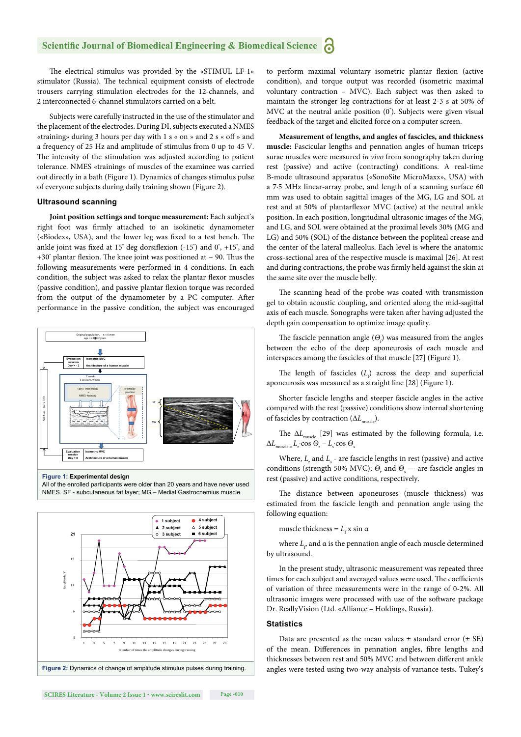The electrical stimulus was provided by the «STIMUL LF-1» stimulator (Russia). The technical equipment consists of electrode trousers carrying stimulation electrodes for the 12-channels, and 2 interconnected 6-channel stimulators carried оn a belt.

Subjects were carefully instructed in the use of the stimulator and the placement of the electrodes. During DI, subjects executed а NMES «training» during 3 hours per day with 1 s « оn » and 2 s « off » and a frequency of 25 Hz and amplitude of stimulus from 0 up to 45 V. The intensity of the stimulation was adjusted according to patient tolerance. NMES «training» of muscles of the examinee was carried out directly in a bath (Figure 1). Dynamics of changes stimulus pulse of everyone subjects during daily training shown (Figure 2).

#### **Ultrasound scanning**

**Joint position settings and torque measurement:** Each subject's right foot was firmly attached to an isokinetic dynamometer («Biodex», USA), and the lower leg was fixed to a test bench. The ankle joint was fixed at 15° deg dorsiflexion (-15°) and 0°, +15°, and +30° plantar flexion. The knee joint was positioned at  $\sim$  90. Thus the following measurements were performed in 4 conditions. In each condition, the subject was asked to relax the plantar flexor muscles (passive condition), and passive plantar flexion torque was recorded from the output of the dynamometer by a PC computer. After performance in the passive condition, the subject was encouraged



NMES. SF - subcutaneous fat layer; MG – Medial Gastrocnemius muscle



to perform maximal voluntary isometric plantar flexion (active condition), and torque output was recorded (isometric maximal voluntary contraction – MVC). Each subject was then asked to maintain the stronger leg contractions for at least 2-3 s at 50% of MVC at the neutral ankle position (0° ). Subjects were given visual feedback of the target and elicited force on a computer screen.

**Measurement of lengths, and angles of fascicles, and thickness muscle:** Fascicular lengths and pennation angles of human triceps surae muscles were measured *in vivo* from sonography taken during rest (passive) and active (contracting) conditions. A real-time B-mode ultrasound apparatus («SonoSite MicroMaxx», USA) with a 7·5 MHz linear-array probe, and length of a scanning surface 60 mm was used to obtain sagittal images of the MG, LG and SOL at rest and at 50% of plantarflexor MVC (active) at the neutral ankle position. In each position, longitudinal ultrasonic images of the MG, and LG, and SOL were obtained at the proximal levels 30% (MG and LG) and 50% (SOL) of the distance between the popliteal crease and the center of the lateral malleolus. Each level is where the anatomic cross-sectional area of the respective muscle is maximal [26]. At rest and during contractions, the probe was firmly held against the skin at the same site over the muscle belly.

The scanning head of the probe was coated with transmission gel to obtain acoustic coupling, and oriented along the mid-sagittal axis of each muscle. Sonographs were taken after having adjusted the depth gain compensation to optimize image quality.

The fascicle pennation angle  $(\Theta_f)$  was measured from the angles between the echo of the deep aponeurosis of each muscle and interspaces among the fascicles of that muscle [27] (Figure 1).

The length of fascicles  $(L_f)$  across the deep and superficial aponeurosis was measured as a straight line [28] (Figure 1).

Shorter fascicle lengths and steeper fascicle angles in the active compared with the rest (passive) conditions show internal shortening of fascicles by contraction ( $\Delta L$ <sub>muscle</sub>).

The  $\Delta L$ <sub>muscle</sub> [29] was estimated by the following formula, i.e.  $\Delta L$ <sub>muscle</sub> =  $L$ <sub>r</sub>⋅cos  $Θ$ <sub>r</sub> −  $L$ <sub>s</sub>⋅cos  $Θ$ <sub>s</sub>

Where,  $L_{\rm r}$  and  $L_{\rm s}$  - are fascicle lengths in rest (passive) and active conditions (strength 50% MVC);  $\Theta_r$  and  $\Theta_s$  — are fascicle angles in rest (passive) and active conditions, respectively.

The distance between aponeuroses (muscle thickness) was estimated from the fascicle length and pennation angle using the following equation:

muscle thickness =  $L_f$ **x** sin  $\alpha$ 

where  $L_\rho$  and  $\alpha$  is the pennation angle of each muscle determined by ultrasound.

In the present study, ultrasonic measurement was repeated three times for each subject and averaged values were used. The coefficients of variation of three measurements were in the range of 0-2%. All ultrasonic images were processed with use of the software package Dr. ReallyVision (Ltd. «Alliance – Holding», Russia).

#### **Statistics**

Data are presented as the mean values  $\pm$  standard error ( $\pm$  SE) of the mean. Differences in pennation angles, fibre lengths and thicknesses between rest and 50% MVC and between different ankle angles were tested using two-way analysis of variance tests. Tukey's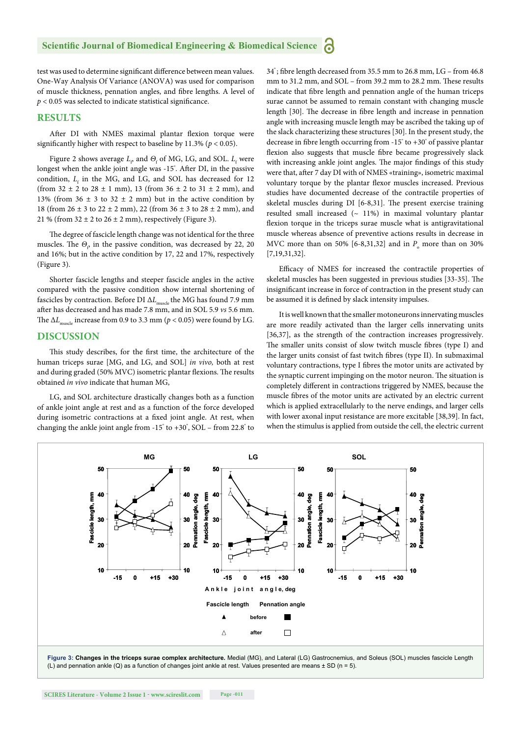## **Scientific Journal of Biomedical Engineering & Biomedical Science**

test was used to determine significant difference between mean values. One-Way Analysis Of Variance (ANOVA) was used for comparison of muscle thickness, pennation angles, and fibre lengths. A level of  $p < 0.05$  was selected to indicate statistical significance.

#### **RESULTS**

After DI with NMES maximal plantar flexion torque were significantly higher with respect to baseline by  $11.3\%$  ( $p < 0.05$ ).

Figure 2 shows average  $L_{\rho}$  and  $\Theta_{\rm f}$  of MG, LG, and SOL.  $L_{\rm f}$  were longest when the ankle joint angle was -15°. After DI, in the passive condition,  $L_f$  in the MG, and LG, and SOL has decreased for 12 (from  $32 \pm 2$  to  $28 \pm 1$  mm),  $13$  (from  $36 \pm 2$  to  $31 \pm 2$  mm), and 13% (from  $36 \pm 3$  to  $32 \pm 2$  mm) but in the active condition by 18 (from  $26 \pm 3$  to  $22 \pm 2$  mm), 22 (from  $36 \pm 3$  to  $28 \pm 2$  mm), and 21 % (from  $32 \pm 2$  to  $26 \pm 2$  mm), respectively (Figure 3).

The degree of fascicle length change was not identical for the three muscles. The *Θ*<sub>ρ</sub> in the passive condition, was decreased by 22, 20 and 16%; but in the active condition by 17, 22 and 17%, respectively (Figure 3).

Shorter fascicle lengths and steeper fascicle angles in the active compared with the passive condition show internal shortening of fascicles by contraction. Before DI Δ*L*<sub>muscle</sub> the MG has found 7.9 mm after has decreased and has made 7.8 mm, and in SOL 5.9 *vs* 5.6 mm. The  $\Delta L_{\text{muscle}}$  increase from 0.9 to 3.3 mm ( $p < 0.05$ ) were found by LG.

#### **DISCUSSION**

This study describes, for the first time, the architecture of the human triceps surae [MG, and LG, and SOL] *in vivo,* both at rest and during graded (50% MVC) isometric plantar flexions. The results obtained *in vivo* indicate that human MG,

LG, and SOL architecture drastically changes both as a function of ankle joint angle at rest and as a function of the force developed during isometric contractions at a fixed joint angle. At rest, when changing the ankle joint angle from -15° to +30° , SOL – from 22.8° to 34°; fibre length decreased from 35.5 mm to 26.8 mm, LG - from 46.8 mm to  $31.2$  mm, and  $SOL$  – from  $39.2$  mm to  $28.2$  mm. These results indicate that fibre length and pennation angle of the human triceps surae cannot be assumed to remain constant with changing muscle length [30]. The decrease in fibre length and increase in pennation angle with increasing muscle length may be ascribed the taking up of the slack characterizing these structures [30]. In the present study, the decrease in fibre length occurring from  $-15^\circ$  to  $+30^\circ$  of passive plantar flexion also suggests that muscle fibre became progressively slack with increasing ankle joint angles. The major findings of this study were that, after 7 day DI with of NMES «training», isometric maximal voluntary torque by the plantar flexor muscles increased. Previous studies have documented decrease of the contractile properties of skeletal muscles during DI [6-8,31]. The present exercise training resulted small increased  $($   $\sim$  11% $)$  in maximal voluntary plantar flexion torque in the triceps surae muscle what is antigravitational muscle whereas absence of preventive actions results in decrease in MVC more than on 50% [6-8,31,32] and in  $P_{\text{o}}$  more than on 30% [7,19,31,32].

Efficacy of NMES for increased the contractile properties of skeletal muscles has been suggested in previous studies [33-35]. The insignificant increase in force of contraction in the present study can be assumed it is defined by slack intensity impulses.

It is well known that the smaller motoneurons innervating muscles are more readily activated than the larger cells innervating units [36,37], as the strength of the contraction increases progressively. The smaller units consist of slow twitch muscle fibres (type I) and the larger units consist of fast twitch fibres (type II). In submaximal voluntary contractions, type I fibres the motor units are activated by the synaptic current impinging on the motor neuron. The situation is completely different in contractions triggered by NMES, because the muscle fibres of the motor units are activated by an electric current which is applied extracellularly to the nerve endings, and larger cells with lower axonal input resistance are more excitable [38,39]. In fact, when the stimulus is applied from outside the cell, the electric current



**Figure 3: Changes in the triceps surae complex architecture.** Medial (MG), and Lateral (LG) Gastrocnemius, and Soleus (SOL) muscles fascicle Length (L) and pennation ankle (Q) as a function of changes joint ankle at rest. Values presented are means ± SD (n = 5).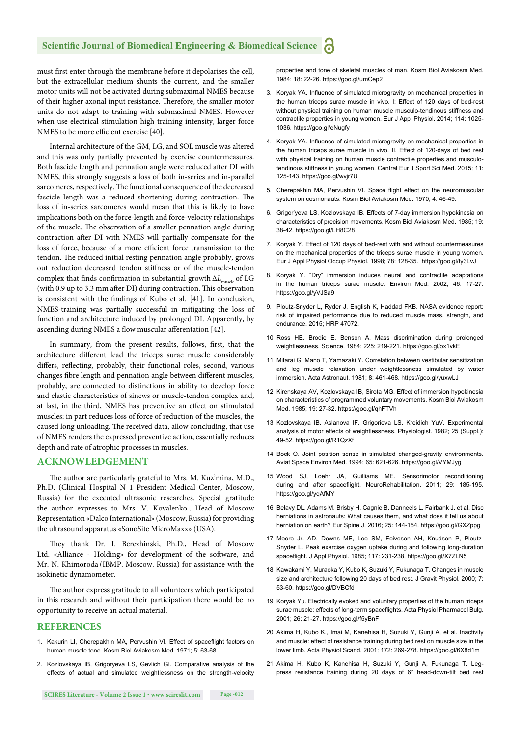## **Scientific Journal of Biomedical Engineering & Biomedical Science**

must first enter through the membrane before it depolarises the cell, but the extracellular medium shunts the current, and the smaller motor units will not be activated during submaximal NMES because of their higher axonal input resistance. Therefore, the smaller motor units do not adapt to training with submaximal NMES. However when use electrical stimulation high training intensity, larger force NMES to be more efficient exercise [40].

Internal architecture of the GM, LG, and SOL muscle was altered and this was only partially prevented by exercise countermeasures. Both fascicle length and pennation angle were reduced after DI with NMES, this strongly suggests a loss of both in-series and in-parallel sarcomeres, respectively. The functional consequence of the decreased fascicle length was a reduced shortening during contraction. The loss of in-series sarcomeres would mean that this is likely to have implications both on the force-length and force-velocity relationships of the muscle. The observation of a smaller pennation angle during contraction after DI with NMES will partially compensate for the loss of force, because of a more efficient force transmission to the tendon. The reduced initial resting pennation angle probably, grows out reduction decreased tendon stiffness or of the muscle-tendon complex that finds confirmation in substantial growth Δ*L*<sub>muscle</sub> of LG (with 0.9 up to 3.3 mm after DI) during contraction. This observation is consistent with the findings of Kubo et al. [41]. In conclusion, NMES-training was partially successful in mitigating the loss of function and architecture induced by prolonged DI. Apparently, by ascending during NMES a flow muscular afferentation [42].

In summary, from the present results, follows, first, that the architecture different lead the triceps surae muscle considerably differs, reflecting, probably, their functional roles, second, various changes fibre length and pennation angle between different muscles, probably, are connected to distinctions in ability to develop force and elastic characteristics of sinews or muscle-tendon complex and, at last, in the third, NMES has preventive an effect on stimulated muscles: in part reduces loss of force of reduction of the muscles, the caused long unloading. The received data, allow concluding, that use of NMES renders the expressed preventive action, essentially reduces depth and rate of atrophic processes in muscles.

#### **ACKNOWLEDGEMENT**

The author are particularly grateful to Mrs. M. Kuz'mina, M.D., Ph.D. (Clinical Hospital N 1 President Medical Center, Moscow, Russia) for the executed ultrasonic researches. Special gratitude the author expresses to Mrs. V. Kovalenko., Head of Moscow Representation «Dalco International» (Moscow, Russia) for providing the ultrasound apparatus «SonoSite MicroMaxx» (USA).

They thank Dr. I. Berezhinski, Ph.D., Head of Moscow Ltd. «Alliance - Holding» for development of the software, and Mr. N. Khimoroda (IBMP, Moscow, Russia) for assistance with the isokinetic dynamometer.

The author express gratitude to all volunteers which participated in this research and without their participation there would be no opportunity to receive an actual material.

#### **REFERENCES**

- 1. Kakurin LI, Cherepakhin MA, Pervushin VI. Effect of spaceflight factors on human muscle tone. Kosm Biol Aviakosm Med. 1971; 5: 63-68.
- 2. Kozlovskaya IB, Grigoryeva LS, Gevlich GI. Comparative analysis of the effects of actual and simulated weightlessness on the strength-velocity

properties and tone of skeletal muscles of man. Kosm Biol Aviakosm Med. 1984: 18: 22-26. https://goo.gl/umCep2

- 3. Koryak YA. Influence of simulated microgravity on mechanical properties in the human triceps surae muscle in vivo. I: Effect of 120 days of bed-rest without physical training on human muscle musculo-tendinous stiffness and contractile properties in young women. Eur J Appl Physiol. 2014; 114: 1025- 1036. https://goo.gl/eNugfy
- 4. Koryak YA. Influence of simulated microgravity on mechanical properties in the human triceps surae muscle in vivo. II. Effect of 120-days of bed rest with physical training on human muscle contractile properties and musculotendinous stiffness in young women. Central Eur J Sport Sci Med. 2015; 11: 125-143. https://goo.gl/wvjr7U
- 5. Cherepakhin MA, Pervushin VI, Space flight effect on the neuromuscular system on cosmonauts. Kosm Biol Aviakosm Med. 1970; 4: 46-49.
- 6. Grigor'yeva LS, Kozlovskaya IB. Effects of 7-day immersion hypokinesia on characteristics of precision movements. Kosm Biol Aviakosm Med. 1985; 19: 38-42. https://goo.gl/LH8C28
- 7. Koryak Y. Effect of 120 days of bed-rest with and without countermeasures on the mechanical properties of the triceps surae muscle in young women. Eur J Appl Physiol Occup Physiol. 1998; 78: 128-35. https://goo.gl/fy3LvJ
- 8. Koryak Y. "Dry" immersion induces neural and contractile adaptations in the human triceps surae muscle. Environ Med. 2002; 46: 17-27. https://goo.gl/yVJSa9
- 9. Ploutz-Snyder L, Ryder J, English K, Haddad FKB. NASA evidence report: risk of impaired performance due to reduced muscle mass, strength, and endurance. 2015; HRP 47072.
- 10. Ross HE, Brodie E, Benson A. Mass discrimination during prolonged weightlessness. Science. 1984; 225: 219-221. https://goo.gl/ox1vkE
- 11. Mitarai G, Mano T, Yamazaki Y. Correlation between vestibular sensitization and leg muscle relaxation under weightlessness simulated by water immersion. Acta Astronaut. 1981; 8: 461-468. https://goo.gl/yuxwLJ
- 12. Kirenskaya AV, Kozlovskaya IB, Sirota MG. Effect of immersion hypokinesia on characteristics of programmed voluntary movements. Kosm Biol Aviakosm Med. 1985; 19: 27-32. https://goo.gl/qhFTVh
- 13. Kozlovskaya IB, Aslanova IF, Grigorieva LS, Kreidich YuV. Experimental analysis of motor effects of weightlessness. Physiologist. 1982; 25 (Suppl.): 49-52. https://goo.gl/R1QzXf
- 14. Bock O. Joint position sense in simulated changed-gravity environments. Aviat Space Environ Med. 1994; 65: 621-626. https://goo.gl/VYMJyg
- 15. Wood SJ, Loehr JA, Guilliams ME. Sensorimotor reconditioning during and after spaceflight. NeuroRehabilitation. 2011: 29: 185-195. https://goo.gl/yqAfMY
- 16. Belavy DL, Adams M, Brisby H, Cagnie B, Danneels L, Fairbank J, et al. Disc herniations in astronauts: What causes them, and what does it tell us about herniation on earth? Eur Spine J. 2016; 25: 144-154. https://goo.gl/GXZppg
- 17. Moore Jr. AD, Downs ME, Lee SM, Feiveson AH, Knudsen P, Ploutz-Snyder L. Peak exercise oxygen uptake during and following long-duration spaceflight. J Appl Physiol. 1985; 117: 231-238. https://goo.gl/X7ZLN5
- 18. Kawakami Y, Muraoka Y, Kubo K, Suzuki Y, Fukunaga T. Changes in muscle size and architecture following 20 days of bed rest. J Gravit Physiol. 2000; 7: 53-60. https://goo.gl/DVBCfd
- 19. Koryak Yu. Electrically evoked and voluntary properties of the human triceps surae muscle: effects of long-term spaceflights. Acta Physiol Pharmacol Bulg. 2001; 26: 21-27. https://goo.gl/f5yBnF
- 20. Akima H, Kubo K., Imai M, Kanehisa H, Suzuki Y, Gunji A, et al. Inactivity and muscle: effect of resistance training during bed rest on muscle size in the lower limb. Acta Physiol Scand. 2001; 172: 269-278. https://goo.gl/6X8d1m
- 21. Akima H, Kubo K, Kanehisa H, Suzuki Y, Gunji A, Fukunaga T. Legpress resistance training during 20 days of 6° head-down-tilt bed rest